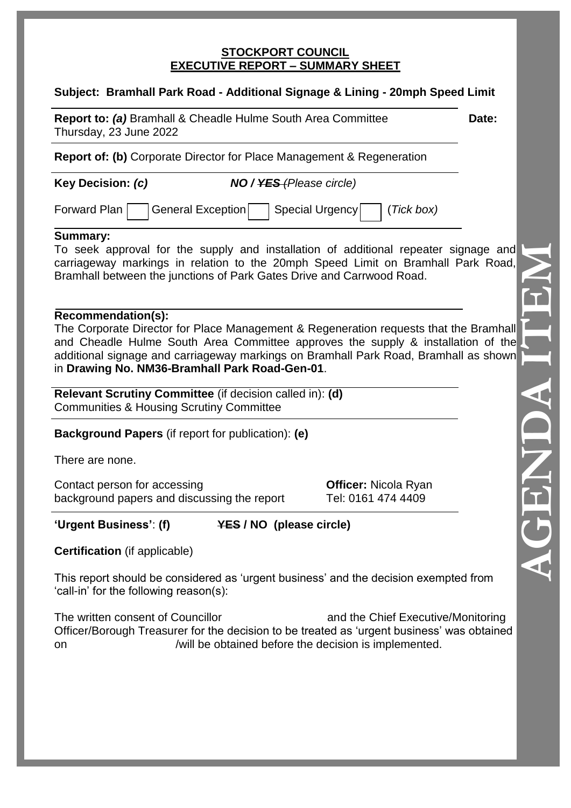#### **STOCKPORT COUNCIL EXECUTIVE REPORT – SUMMARY SHEET**

### **Subject: Bramhall Park Road - Additional Signage & Lining - 20mph Speed Limit**

**Report to: (a)** Bramhall & Cheadle Hulme South Area Committee **Date:** Thursday, 23 June 2022

**Report of: (b)** Corporate Director for Place Management & Regeneration

**Key Decision:** *(c) NO / YES (Please circle)*

Forward Plan | General Exception | Special Urgency | (*Tick box*)

### **Summary:**

To seek approval for the supply and installation of additional repeater signage and carriageway markings in relation to the 20mph Speed Limit on Bramhall Park Road, Bramhall between the junctions of Park Gates Drive and Carrwood Road.

### **Recommendation(s):**

The Corporate Director for Place Management & Regeneration requests that the Bramhall and Cheadle Hulme South Area Committee approves the supply & installation of the additional signage and carriageway markings on Bramhall Park Road, Bramhall as shown in **Drawing No. NM36-Bramhall Park Road-Gen-01**.

**Relevant Scrutiny Committee** (if decision called in): **(d)** Communities & Housing Scrutiny Committee

**Background Papers** (if report for publication): **(e)**

There are none.

Contact person for accessing **Officer:** Nicola Ryan background papers and discussing the report Tel: 0161 474 4409

**'Urgent Business'**: **(f) YES / NO (please circle)**

**Certification** (if applicable)

This report should be considered as 'urgent business' and the decision exempted from 'call-in' for the following reason(s):

The written consent of Councillor and the Chief Executive/Monitoring Officer/Borough Treasurer for the decision to be treated as 'urgent business' was obtained on /will be obtained before the decision is implemented.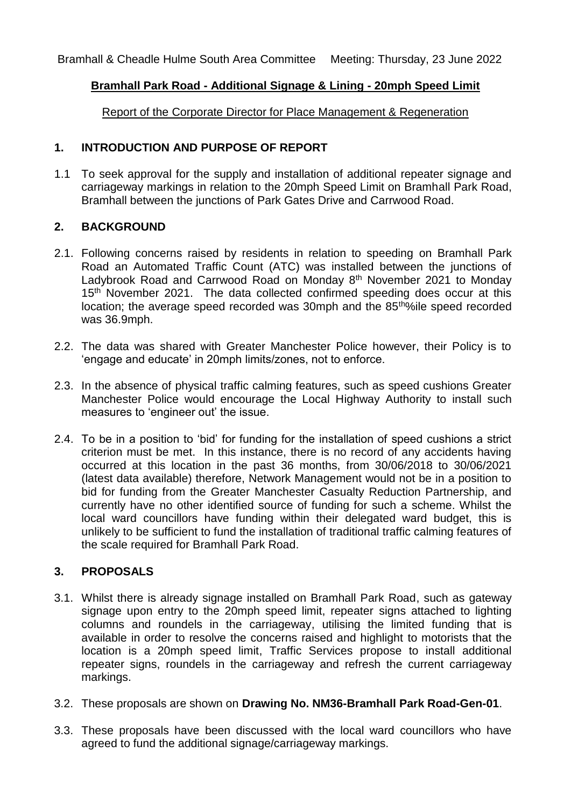Bramhall & Cheadle Hulme South Area Committee Meeting: Thursday, 23 June 2022

### **Bramhall Park Road - Additional Signage & Lining - 20mph Speed Limit**

Report of the Corporate Director for Place Management & Regeneration

### **1. INTRODUCTION AND PURPOSE OF REPORT**

1.1 To seek approval for the supply and installation of additional repeater signage and carriageway markings in relation to the 20mph Speed Limit on Bramhall Park Road, Bramhall between the junctions of Park Gates Drive and Carrwood Road.

### **2. BACKGROUND**

- 2.1. Following concerns raised by residents in relation to speeding on Bramhall Park Road an Automated Traffic Count (ATC) was installed between the junctions of Ladybrook Road and Carrwood Road on Monday 8<sup>th</sup> November 2021 to Monday 15<sup>th</sup> November 2021. The data collected confirmed speeding does occur at this location; the average speed recorded was 30mph and the 85<sup>tho</sup>%ile speed recorded was 36.9mph.
- 2.2. The data was shared with Greater Manchester Police however, their Policy is to 'engage and educate' in 20mph limits/zones, not to enforce.
- 2.3. In the absence of physical traffic calming features, such as speed cushions Greater Manchester Police would encourage the Local Highway Authority to install such measures to 'engineer out' the issue.
- 2.4. To be in a position to 'bid' for funding for the installation of speed cushions a strict criterion must be met. In this instance, there is no record of any accidents having occurred at this location in the past 36 months, from 30/06/2018 to 30/06/2021 (latest data available) therefore, Network Management would not be in a position to bid for funding from the Greater Manchester Casualty Reduction Partnership, and currently have no other identified source of funding for such a scheme. Whilst the local ward councillors have funding within their delegated ward budget, this is unlikely to be sufficient to fund the installation of traditional traffic calming features of the scale required for Bramhall Park Road.

# **3. PROPOSALS**

- 3.1. Whilst there is already signage installed on Bramhall Park Road, such as gateway signage upon entry to the 20mph speed limit, repeater signs attached to lighting columns and roundels in the carriageway, utilising the limited funding that is available in order to resolve the concerns raised and highlight to motorists that the location is a 20mph speed limit, Traffic Services propose to install additional repeater signs, roundels in the carriageway and refresh the current carriageway markings.
- 3.2. These proposals are shown on **Drawing No. NM36-Bramhall Park Road-Gen-01**.
- 3.3. These proposals have been discussed with the local ward councillors who have agreed to fund the additional signage/carriageway markings.